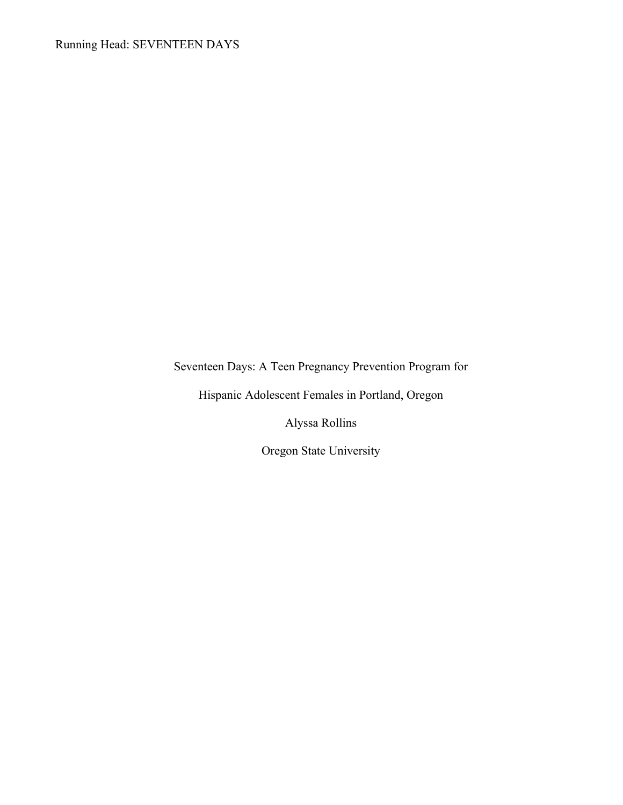Seventeen Days: A Teen Pregnancy Prevention Program for

Hispanic Adolescent Females in Portland, Oregon

Alyssa Rollins

Oregon State University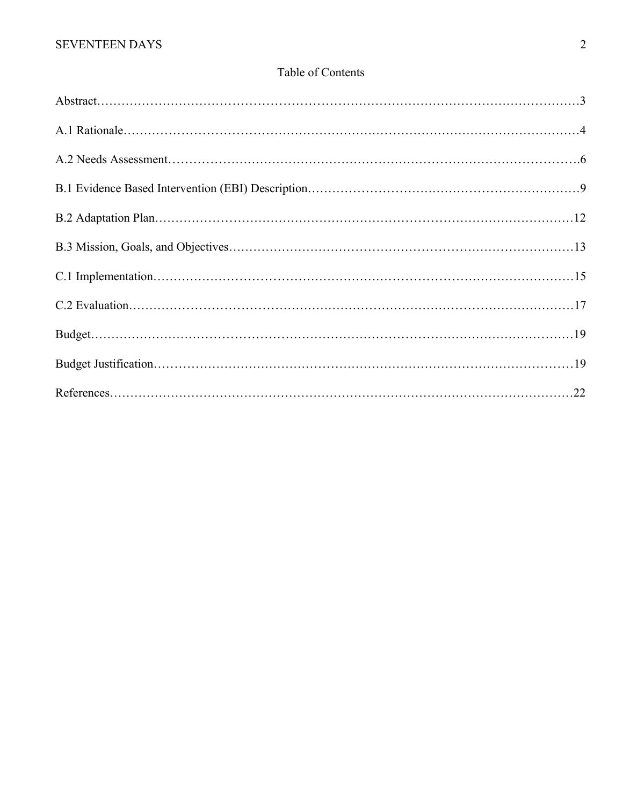# Table of Contents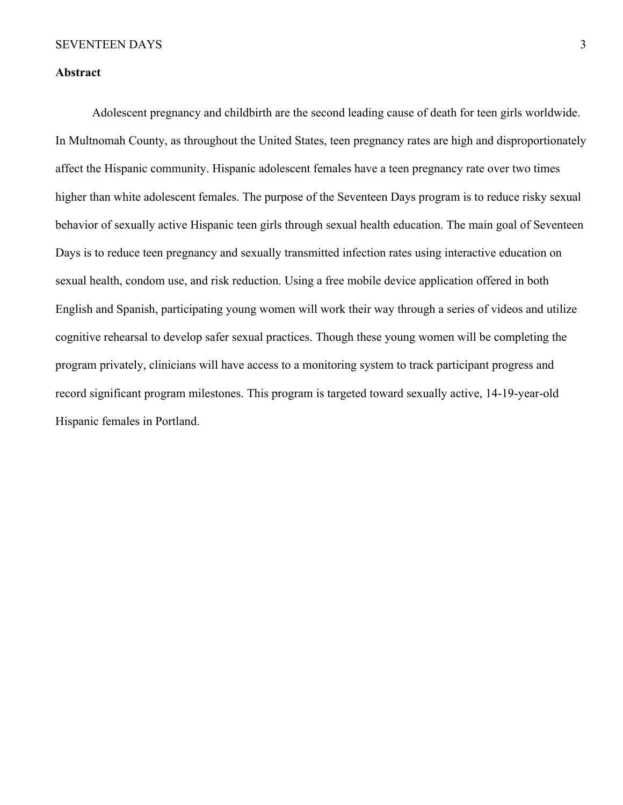### **Abstract**

Adolescent pregnancy and childbirth are the second leading cause of death for teen girls worldwide. In Multnomah County, as throughout the United States, teen pregnancy rates are high and disproportionately affect the Hispanic community. Hispanic adolescent females have a teen pregnancy rate over two times higher than white adolescent females. The purpose of the Seventeen Days program is to reduce risky sexual behavior of sexually active Hispanic teen girls through sexual health education. The main goal of Seventeen Days is to reduce teen pregnancy and sexually transmitted infection rates using interactive education on sexual health, condom use, and risk reduction. Using a free mobile device application offered in both English and Spanish, participating young women will work their way through a series of videos and utilize cognitive rehearsal to develop safer sexual practices. Though these young women will be completing the program privately, clinicians will have access to a monitoring system to track participant progress and record significant program milestones. This program is targeted toward sexually active, 14-19-year-old Hispanic females in Portland.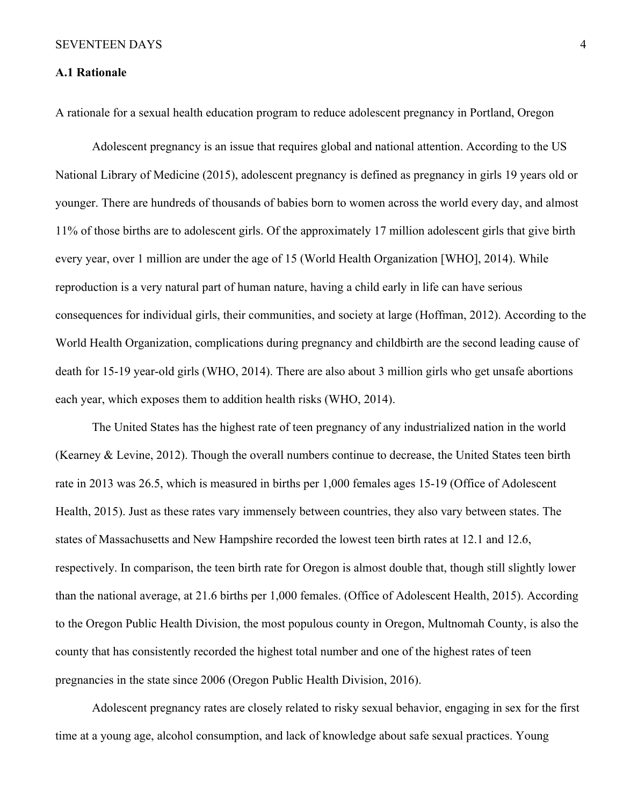### **A.1 Rationale**

A rationale for a sexual health education program to reduce adolescent pregnancy in Portland, Oregon

Adolescent pregnancy is an issue that requires global and national attention. According to the US National Library of Medicine (2015), adolescent pregnancy is defined as pregnancy in girls 19 years old or younger. There are hundreds of thousands of babies born to women across the world every day, and almost 11% of those births are to adolescent girls. Of the approximately 17 million adolescent girls that give birth every year, over 1 million are under the age of 15 (World Health Organization [WHO], 2014). While reproduction is a very natural part of human nature, having a child early in life can have serious consequences for individual girls, their communities, and society at large (Hoffman, 2012). According to the World Health Organization, complications during pregnancy and childbirth are the second leading cause of death for 15-19 year-old girls (WHO, 2014). There are also about 3 million girls who get unsafe abortions each year, which exposes them to addition health risks (WHO, 2014).

The United States has the highest rate of teen pregnancy of any industrialized nation in the world (Kearney & Levine, 2012). Though the overall numbers continue to decrease, the United States teen birth rate in 2013 was 26.5, which is measured in births per 1,000 females ages 15-19 (Office of Adolescent Health, 2015). Just as these rates vary immensely between countries, they also vary between states. The states of Massachusetts and New Hampshire recorded the lowest teen birth rates at 12.1 and 12.6, respectively. In comparison, the teen birth rate for Oregon is almost double that, though still slightly lower than the national average, at 21.6 births per 1,000 females. (Office of Adolescent Health, 2015). According to the Oregon Public Health Division, the most populous county in Oregon, Multnomah County, is also the county that has consistently recorded the highest total number and one of the highest rates of teen pregnancies in the state since 2006 (Oregon Public Health Division, 2016).

Adolescent pregnancy rates are closely related to risky sexual behavior, engaging in sex for the first time at a young age, alcohol consumption, and lack of knowledge about safe sexual practices. Young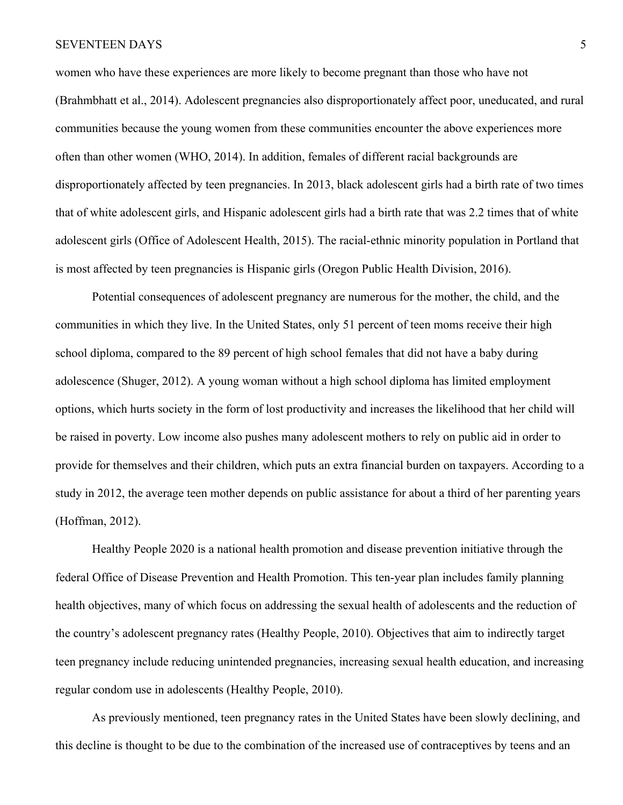women who have these experiences are more likely to become pregnant than those who have not (Brahmbhatt et al., 2014). Adolescent pregnancies also disproportionately affect poor, uneducated, and rural communities because the young women from these communities encounter the above experiences more often than other women (WHO, 2014). In addition, females of different racial backgrounds are disproportionately affected by teen pregnancies. In 2013, black adolescent girls had a birth rate of two times that of white adolescent girls, and Hispanic adolescent girls had a birth rate that was 2.2 times that of white adolescent girls (Office of Adolescent Health, 2015). The racial-ethnic minority population in Portland that is most affected by teen pregnancies is Hispanic girls (Oregon Public Health Division, 2016).

Potential consequences of adolescent pregnancy are numerous for the mother, the child, and the communities in which they live. In the United States, only 51 percent of teen moms receive their high school diploma, compared to the 89 percent of high school females that did not have a baby during adolescence (Shuger, 2012). A young woman without a high school diploma has limited employment options, which hurts society in the form of lost productivity and increases the likelihood that her child will be raised in poverty. Low income also pushes many adolescent mothers to rely on public aid in order to provide for themselves and their children, which puts an extra financial burden on taxpayers. According to a study in 2012, the average teen mother depends on public assistance for about a third of her parenting years (Hoffman, 2012).

Healthy People 2020 is a national health promotion and disease prevention initiative through the federal Office of Disease Prevention and Health Promotion. This ten-year plan includes family planning health objectives, many of which focus on addressing the sexual health of adolescents and the reduction of the country's adolescent pregnancy rates (Healthy People, 2010). Objectives that aim to indirectly target teen pregnancy include reducing unintended pregnancies, increasing sexual health education, and increasing regular condom use in adolescents (Healthy People, 2010).

As previously mentioned, teen pregnancy rates in the United States have been slowly declining, and this decline is thought to be due to the combination of the increased use of contraceptives by teens and an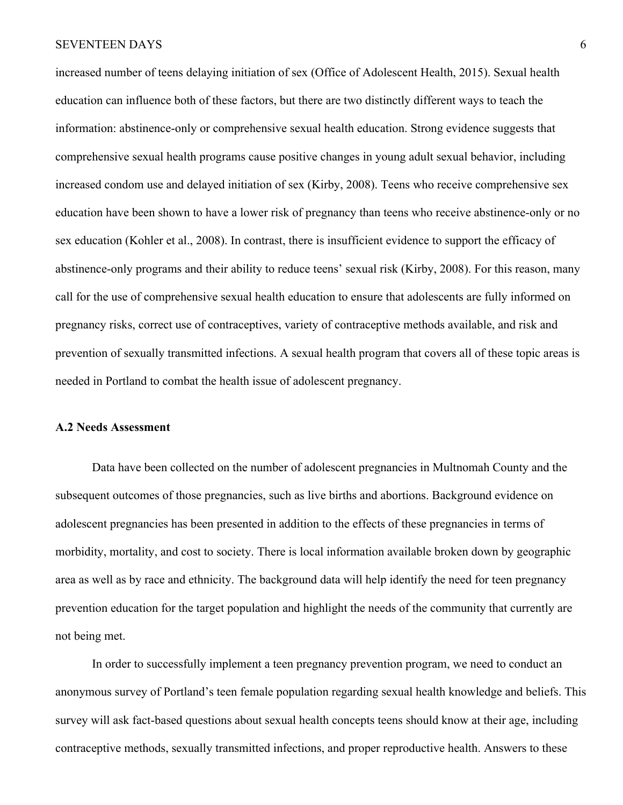increased number of teens delaying initiation of sex (Office of Adolescent Health, 2015). Sexual health education can influence both of these factors, but there are two distinctly different ways to teach the information: abstinence-only or comprehensive sexual health education. Strong evidence suggests that comprehensive sexual health programs cause positive changes in young adult sexual behavior, including increased condom use and delayed initiation of sex (Kirby, 2008). Teens who receive comprehensive sex education have been shown to have a lower risk of pregnancy than teens who receive abstinence-only or no sex education (Kohler et al., 2008). In contrast, there is insufficient evidence to support the efficacy of abstinence-only programs and their ability to reduce teens' sexual risk (Kirby, 2008). For this reason, many call for the use of comprehensive sexual health education to ensure that adolescents are fully informed on pregnancy risks, correct use of contraceptives, variety of contraceptive methods available, and risk and prevention of sexually transmitted infections. A sexual health program that covers all of these topic areas is needed in Portland to combat the health issue of adolescent pregnancy.

#### **A.2 Needs Assessment**

Data have been collected on the number of adolescent pregnancies in Multnomah County and the subsequent outcomes of those pregnancies, such as live births and abortions. Background evidence on adolescent pregnancies has been presented in addition to the effects of these pregnancies in terms of morbidity, mortality, and cost to society. There is local information available broken down by geographic area as well as by race and ethnicity. The background data will help identify the need for teen pregnancy prevention education for the target population and highlight the needs of the community that currently are not being met.

In order to successfully implement a teen pregnancy prevention program, we need to conduct an anonymous survey of Portland's teen female population regarding sexual health knowledge and beliefs. This survey will ask fact-based questions about sexual health concepts teens should know at their age, including contraceptive methods, sexually transmitted infections, and proper reproductive health. Answers to these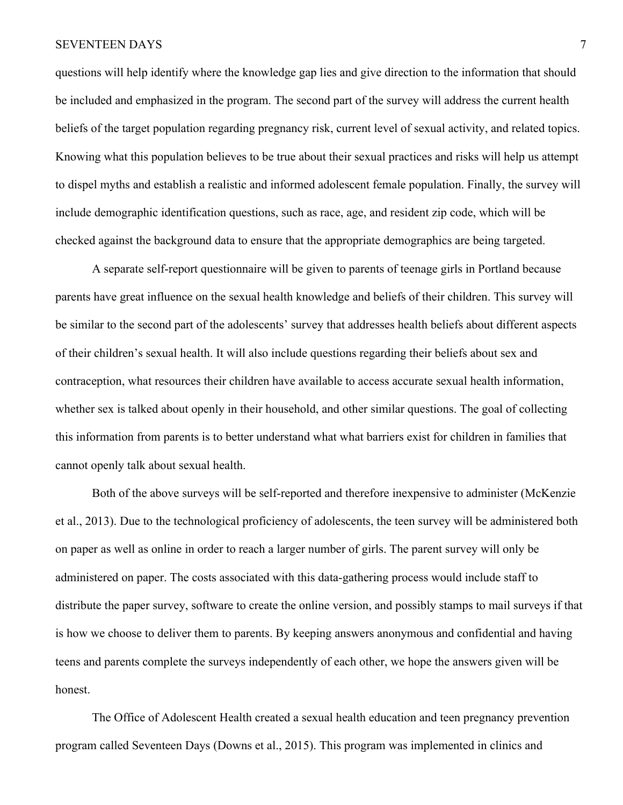questions will help identify where the knowledge gap lies and give direction to the information that should be included and emphasized in the program. The second part of the survey will address the current health beliefs of the target population regarding pregnancy risk, current level of sexual activity, and related topics. Knowing what this population believes to be true about their sexual practices and risks will help us attempt to dispel myths and establish a realistic and informed adolescent female population. Finally, the survey will include demographic identification questions, such as race, age, and resident zip code, which will be checked against the background data to ensure that the appropriate demographics are being targeted.

A separate self-report questionnaire will be given to parents of teenage girls in Portland because parents have great influence on the sexual health knowledge and beliefs of their children. This survey will be similar to the second part of the adolescents' survey that addresses health beliefs about different aspects of their children's sexual health. It will also include questions regarding their beliefs about sex and contraception, what resources their children have available to access accurate sexual health information, whether sex is talked about openly in their household, and other similar questions. The goal of collecting this information from parents is to better understand what what barriers exist for children in families that cannot openly talk about sexual health.

Both of the above surveys will be self-reported and therefore inexpensive to administer (McKenzie et al., 2013). Due to the technological proficiency of adolescents, the teen survey will be administered both on paper as well as online in order to reach a larger number of girls. The parent survey will only be administered on paper. The costs associated with this data-gathering process would include staff to distribute the paper survey, software to create the online version, and possibly stamps to mail surveys if that is how we choose to deliver them to parents. By keeping answers anonymous and confidential and having teens and parents complete the surveys independently of each other, we hope the answers given will be honest.

The Office of Adolescent Health created a sexual health education and teen pregnancy prevention program called Seventeen Days (Downs et al., 2015). This program was implemented in clinics and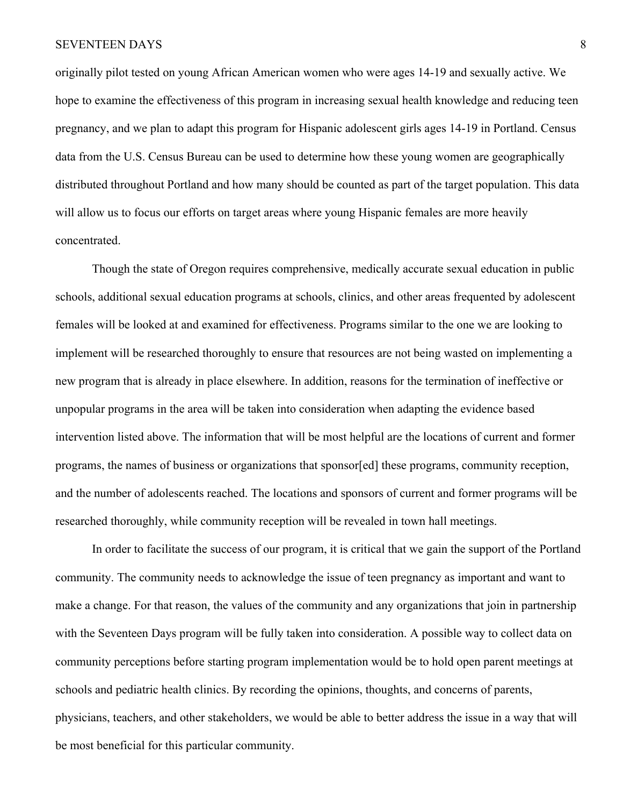originally pilot tested on young African American women who were ages 14-19 and sexually active. We hope to examine the effectiveness of this program in increasing sexual health knowledge and reducing teen pregnancy, and we plan to adapt this program for Hispanic adolescent girls ages 14-19 in Portland. Census data from the U.S. Census Bureau can be used to determine how these young women are geographically distributed throughout Portland and how many should be counted as part of the target population. This data will allow us to focus our efforts on target areas where young Hispanic females are more heavily concentrated.

Though the state of Oregon requires comprehensive, medically accurate sexual education in public schools, additional sexual education programs at schools, clinics, and other areas frequented by adolescent females will be looked at and examined for effectiveness. Programs similar to the one we are looking to implement will be researched thoroughly to ensure that resources are not being wasted on implementing a new program that is already in place elsewhere. In addition, reasons for the termination of ineffective or unpopular programs in the area will be taken into consideration when adapting the evidence based intervention listed above. The information that will be most helpful are the locations of current and former programs, the names of business or organizations that sponsor[ed] these programs, community reception, and the number of adolescents reached. The locations and sponsors of current and former programs will be researched thoroughly, while community reception will be revealed in town hall meetings.

In order to facilitate the success of our program, it is critical that we gain the support of the Portland community. The community needs to acknowledge the issue of teen pregnancy as important and want to make a change. For that reason, the values of the community and any organizations that join in partnership with the Seventeen Days program will be fully taken into consideration. A possible way to collect data on community perceptions before starting program implementation would be to hold open parent meetings at schools and pediatric health clinics. By recording the opinions, thoughts, and concerns of parents, physicians, teachers, and other stakeholders, we would be able to better address the issue in a way that will be most beneficial for this particular community.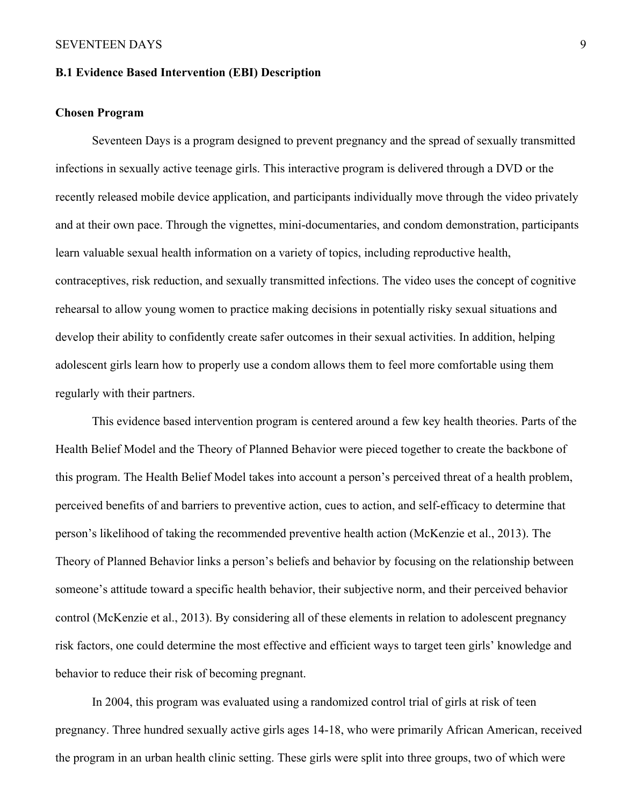## **B.1 Evidence Based Intervention (EBI) Description**

### **Chosen Program**

Seventeen Days is a program designed to prevent pregnancy and the spread of sexually transmitted infections in sexually active teenage girls. This interactive program is delivered through a DVD or the recently released mobile device application, and participants individually move through the video privately and at their own pace. Through the vignettes, mini-documentaries, and condom demonstration, participants learn valuable sexual health information on a variety of topics, including reproductive health, contraceptives, risk reduction, and sexually transmitted infections. The video uses the concept of cognitive rehearsal to allow young women to practice making decisions in potentially risky sexual situations and develop their ability to confidently create safer outcomes in their sexual activities. In addition, helping adolescent girls learn how to properly use a condom allows them to feel more comfortable using them regularly with their partners.

This evidence based intervention program is centered around a few key health theories. Parts of the Health Belief Model and the Theory of Planned Behavior were pieced together to create the backbone of this program. The Health Belief Model takes into account a person's perceived threat of a health problem, perceived benefits of and barriers to preventive action, cues to action, and self-efficacy to determine that person's likelihood of taking the recommended preventive health action (McKenzie et al., 2013). The Theory of Planned Behavior links a person's beliefs and behavior by focusing on the relationship between someone's attitude toward a specific health behavior, their subjective norm, and their perceived behavior control (McKenzie et al., 2013). By considering all of these elements in relation to adolescent pregnancy risk factors, one could determine the most effective and efficient ways to target teen girls' knowledge and behavior to reduce their risk of becoming pregnant.

In 2004, this program was evaluated using a randomized control trial of girls at risk of teen pregnancy. Three hundred sexually active girls ages 14-18, who were primarily African American, received the program in an urban health clinic setting. These girls were split into three groups, two of which were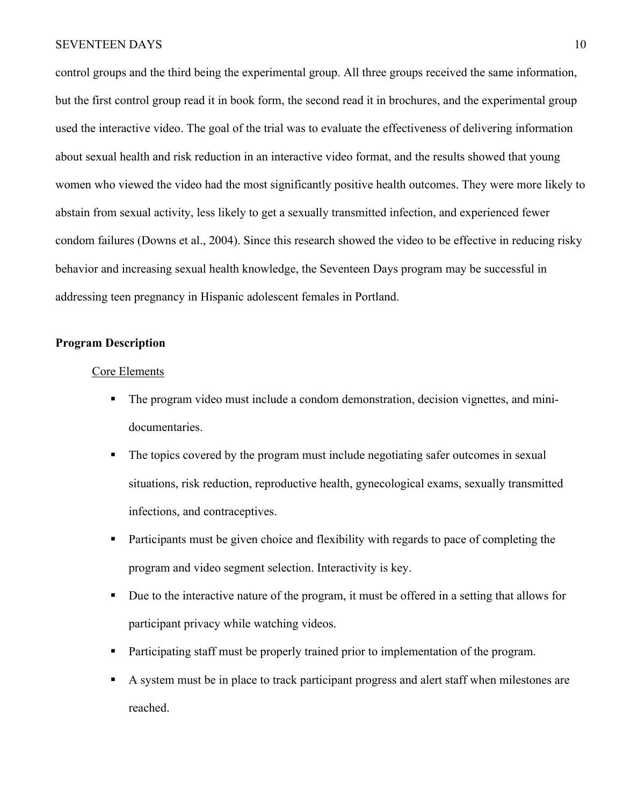control groups and the third being the experimental group. All three groups received the same information, but the first control group read it in book form, the second read it in brochures, and the experimental group used the interactive video. The goal of the trial was to evaluate the effectiveness of delivering information about sexual health and risk reduction in an interactive video format, and the results showed that young women who viewed the video had the most significantly positive health outcomes. They were more likely to abstain from sexual activity, less likely to get a sexually transmitted infection, and experienced fewer condom failures (Downs et al., 2004). Since this research showed the video to be effective in reducing risky behavior and increasing sexual health knowledge, the Seventeen Days program may be successful in addressing teen pregnancy in Hispanic adolescent females in Portland.

### **Program Description**

### Core Elements

- The program video must include a condom demonstration, decision vignettes, and minidocumentaries.
- The topics covered by the program must include negotiating safer outcomes in sexual situations, risk reduction, reproductive health, gynecological exams, sexually transmitted infections, and contraceptives.
- Participants must be given choice and flexibility with regards to pace of completing the program and video segment selection. Interactivity is key.
- § Due to the interactive nature of the program, it must be offered in a setting that allows for participant privacy while watching videos.
- Participating staff must be properly trained prior to implementation of the program.
- A system must be in place to track participant progress and alert staff when milestones are reached.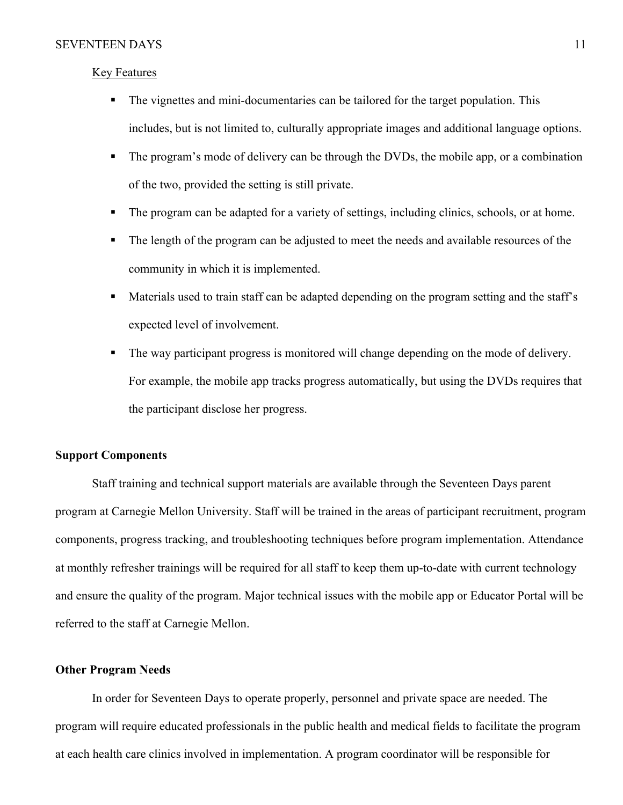### Key Features

- The vignettes and mini-documentaries can be tailored for the target population. This includes, but is not limited to, culturally appropriate images and additional language options.
- The program's mode of delivery can be through the DVDs, the mobile app, or a combination of the two, provided the setting is still private.
- The program can be adapted for a variety of settings, including clinics, schools, or at home.
- The length of the program can be adjusted to meet the needs and available resources of the community in which it is implemented.
- Materials used to train staff can be adapted depending on the program setting and the staff's expected level of involvement.
- The way participant progress is monitored will change depending on the mode of delivery. For example, the mobile app tracks progress automatically, but using the DVDs requires that the participant disclose her progress.

### **Support Components**

Staff training and technical support materials are available through the Seventeen Days parent program at Carnegie Mellon University. Staff will be trained in the areas of participant recruitment, program components, progress tracking, and troubleshooting techniques before program implementation. Attendance at monthly refresher trainings will be required for all staff to keep them up-to-date with current technology and ensure the quality of the program. Major technical issues with the mobile app or Educator Portal will be referred to the staff at Carnegie Mellon.

### **Other Program Needs**

In order for Seventeen Days to operate properly, personnel and private space are needed. The program will require educated professionals in the public health and medical fields to facilitate the program at each health care clinics involved in implementation. A program coordinator will be responsible for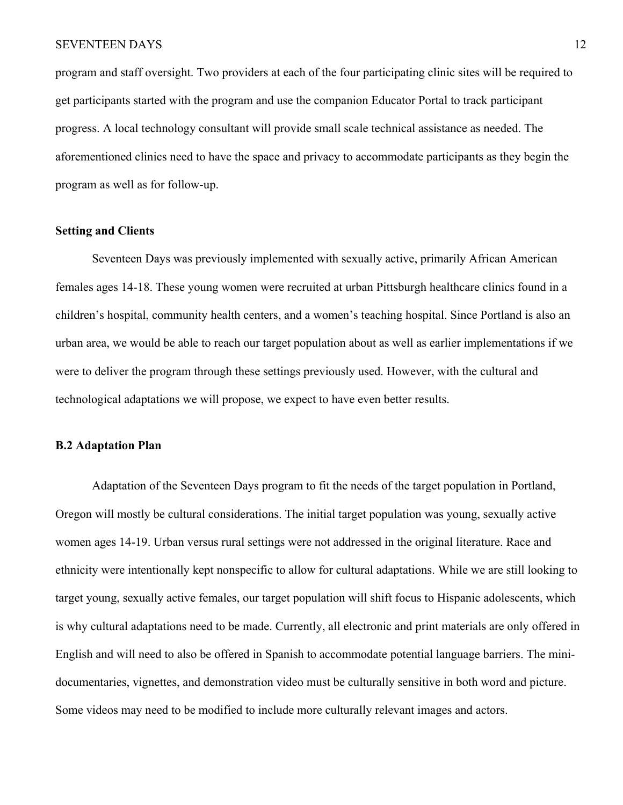program and staff oversight. Two providers at each of the four participating clinic sites will be required to get participants started with the program and use the companion Educator Portal to track participant progress. A local technology consultant will provide small scale technical assistance as needed. The aforementioned clinics need to have the space and privacy to accommodate participants as they begin the program as well as for follow-up.

### **Setting and Clients**

Seventeen Days was previously implemented with sexually active, primarily African American females ages 14-18. These young women were recruited at urban Pittsburgh healthcare clinics found in a children's hospital, community health centers, and a women's teaching hospital. Since Portland is also an urban area, we would be able to reach our target population about as well as earlier implementations if we were to deliver the program through these settings previously used. However, with the cultural and technological adaptations we will propose, we expect to have even better results.

### **B.2 Adaptation Plan**

Adaptation of the Seventeen Days program to fit the needs of the target population in Portland, Oregon will mostly be cultural considerations. The initial target population was young, sexually active women ages 14-19. Urban versus rural settings were not addressed in the original literature. Race and ethnicity were intentionally kept nonspecific to allow for cultural adaptations. While we are still looking to target young, sexually active females, our target population will shift focus to Hispanic adolescents, which is why cultural adaptations need to be made. Currently, all electronic and print materials are only offered in English and will need to also be offered in Spanish to accommodate potential language barriers. The minidocumentaries, vignettes, and demonstration video must be culturally sensitive in both word and picture. Some videos may need to be modified to include more culturally relevant images and actors.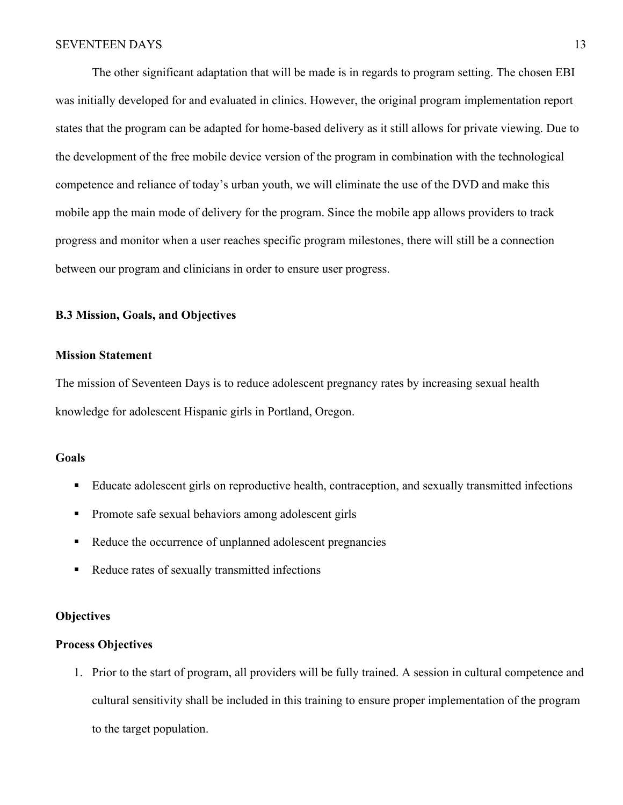The other significant adaptation that will be made is in regards to program setting. The chosen EBI was initially developed for and evaluated in clinics. However, the original program implementation report states that the program can be adapted for home-based delivery as it still allows for private viewing. Due to the development of the free mobile device version of the program in combination with the technological competence and reliance of today's urban youth, we will eliminate the use of the DVD and make this mobile app the main mode of delivery for the program. Since the mobile app allows providers to track progress and monitor when a user reaches specific program milestones, there will still be a connection between our program and clinicians in order to ensure user progress.

### **B.3 Mission, Goals, and Objectives**

### **Mission Statement**

The mission of Seventeen Days is to reduce adolescent pregnancy rates by increasing sexual health knowledge for adolescent Hispanic girls in Portland, Oregon.

#### **Goals**

- Educate adolescent girls on reproductive health, contraception, and sexually transmitted infections
- Promote safe sexual behaviors among adolescent girls
- Reduce the occurrence of unplanned adolescent pregnancies
- Reduce rates of sexually transmitted infections

### **Objectives**

### **Process Objectives**

1. Prior to the start of program, all providers will be fully trained. A session in cultural competence and cultural sensitivity shall be included in this training to ensure proper implementation of the program to the target population.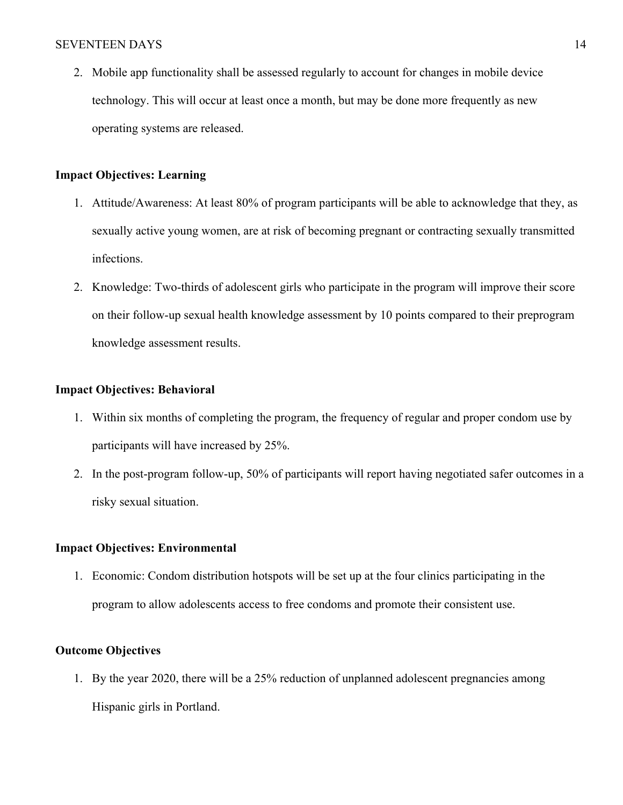2. Mobile app functionality shall be assessed regularly to account for changes in mobile device technology. This will occur at least once a month, but may be done more frequently as new operating systems are released.

## **Impact Objectives: Learning**

- 1. Attitude/Awareness: At least 80% of program participants will be able to acknowledge that they, as sexually active young women, are at risk of becoming pregnant or contracting sexually transmitted infections.
- 2. Knowledge: Two-thirds of adolescent girls who participate in the program will improve their score on their follow-up sexual health knowledge assessment by 10 points compared to their preprogram knowledge assessment results.

### **Impact Objectives: Behavioral**

- 1. Within six months of completing the program, the frequency of regular and proper condom use by participants will have increased by 25%.
- 2. In the post-program follow-up, 50% of participants will report having negotiated safer outcomes in a risky sexual situation.

### **Impact Objectives: Environmental**

1. Economic: Condom distribution hotspots will be set up at the four clinics participating in the program to allow adolescents access to free condoms and promote their consistent use.

### **Outcome Objectives**

1. By the year 2020, there will be a 25% reduction of unplanned adolescent pregnancies among Hispanic girls in Portland.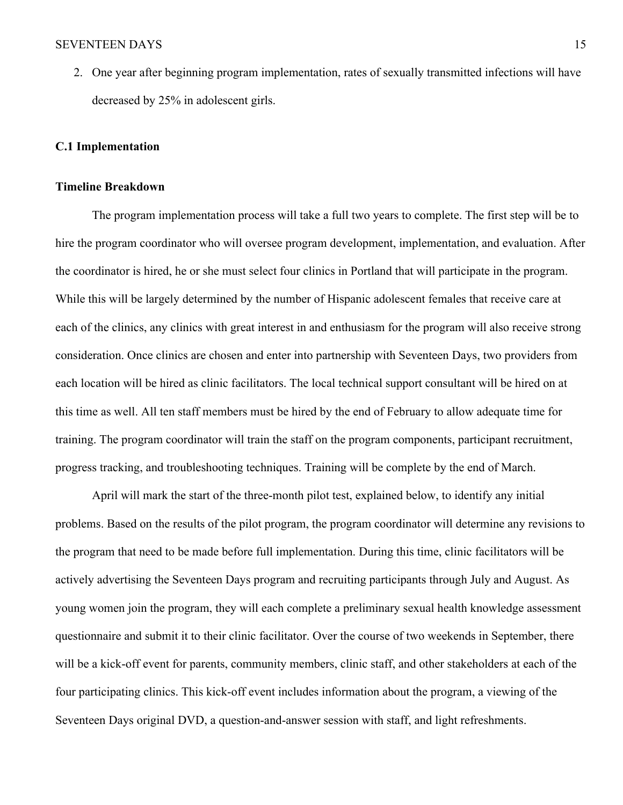2. One year after beginning program implementation, rates of sexually transmitted infections will have decreased by 25% in adolescent girls.

### **C.1 Implementation**

### **Timeline Breakdown**

The program implementation process will take a full two years to complete. The first step will be to hire the program coordinator who will oversee program development, implementation, and evaluation. After the coordinator is hired, he or she must select four clinics in Portland that will participate in the program. While this will be largely determined by the number of Hispanic adolescent females that receive care at each of the clinics, any clinics with great interest in and enthusiasm for the program will also receive strong consideration. Once clinics are chosen and enter into partnership with Seventeen Days, two providers from each location will be hired as clinic facilitators. The local technical support consultant will be hired on at this time as well. All ten staff members must be hired by the end of February to allow adequate time for training. The program coordinator will train the staff on the program components, participant recruitment, progress tracking, and troubleshooting techniques. Training will be complete by the end of March.

April will mark the start of the three-month pilot test, explained below, to identify any initial problems. Based on the results of the pilot program, the program coordinator will determine any revisions to the program that need to be made before full implementation. During this time, clinic facilitators will be actively advertising the Seventeen Days program and recruiting participants through July and August. As young women join the program, they will each complete a preliminary sexual health knowledge assessment questionnaire and submit it to their clinic facilitator. Over the course of two weekends in September, there will be a kick-off event for parents, community members, clinic staff, and other stakeholders at each of the four participating clinics. This kick-off event includes information about the program, a viewing of the Seventeen Days original DVD, a question-and-answer session with staff, and light refreshments.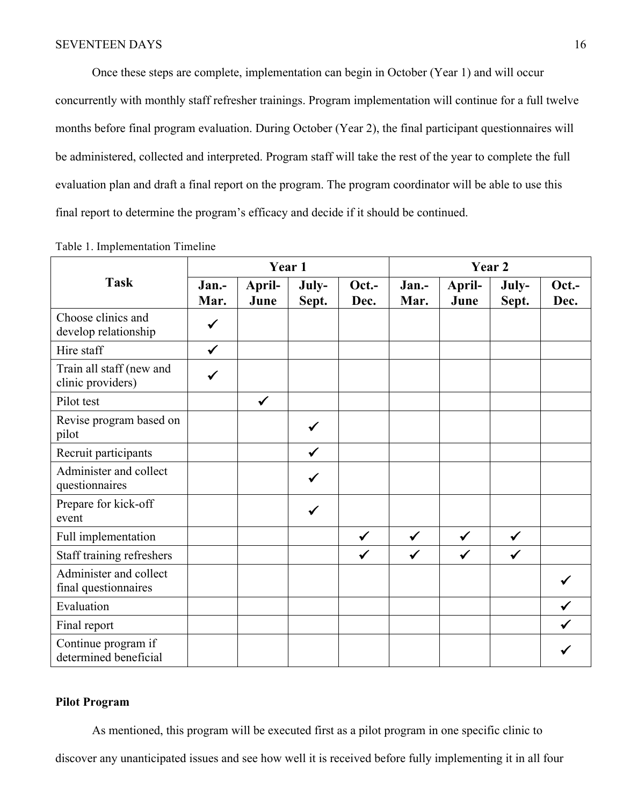Once these steps are complete, implementation can begin in October (Year 1) and will occur concurrently with monthly staff refresher trainings. Program implementation will continue for a full twelve months before final program evaluation. During October (Year 2), the final participant questionnaires will be administered, collected and interpreted. Program staff will take the rest of the year to complete the full evaluation plan and draft a final report on the program. The program coordinator will be able to use this final report to determine the program's efficacy and decide if it should be continued.

|                                                | Year 1        |                |                |               | Year 2        |                |                |               |
|------------------------------------------------|---------------|----------------|----------------|---------------|---------------|----------------|----------------|---------------|
| <b>Task</b>                                    | Jan.-<br>Mar. | April-<br>June | July-<br>Sept. | Oct.-<br>Dec. | Jan.-<br>Mar. | April-<br>June | July-<br>Sept. | Oct.-<br>Dec. |
| Choose clinics and<br>develop relationship     | ✓             |                |                |               |               |                |                |               |
| Hire staff                                     | $\checkmark$  |                |                |               |               |                |                |               |
| Train all staff (new and<br>clinic providers)  |               |                |                |               |               |                |                |               |
| Pilot test                                     |               | $\checkmark$   |                |               |               |                |                |               |
| Revise program based on<br>pilot               |               |                | ✓              |               |               |                |                |               |
| Recruit participants                           |               |                | $\checkmark$   |               |               |                |                |               |
| Administer and collect<br>questionnaires       |               |                | ✓              |               |               |                |                |               |
| Prepare for kick-off<br>event                  |               |                | ✓              |               |               |                |                |               |
| Full implementation                            |               |                |                | $\checkmark$  | $\checkmark$  | $\checkmark$   | $\checkmark$   |               |
| Staff training refreshers                      |               |                |                |               | $\checkmark$  |                | $\checkmark$   |               |
| Administer and collect<br>final questionnaires |               |                |                |               |               |                |                |               |
| Evaluation                                     |               |                |                |               |               |                |                |               |
| Final report                                   |               |                |                |               |               |                |                |               |
| Continue program if<br>determined beneficial   |               |                |                |               |               |                |                |               |

Table 1. Implementation Timeline

# **Pilot Program**

As mentioned, this program will be executed first as a pilot program in one specific clinic to

discover any unanticipated issues and see how well it is received before fully implementing it in all four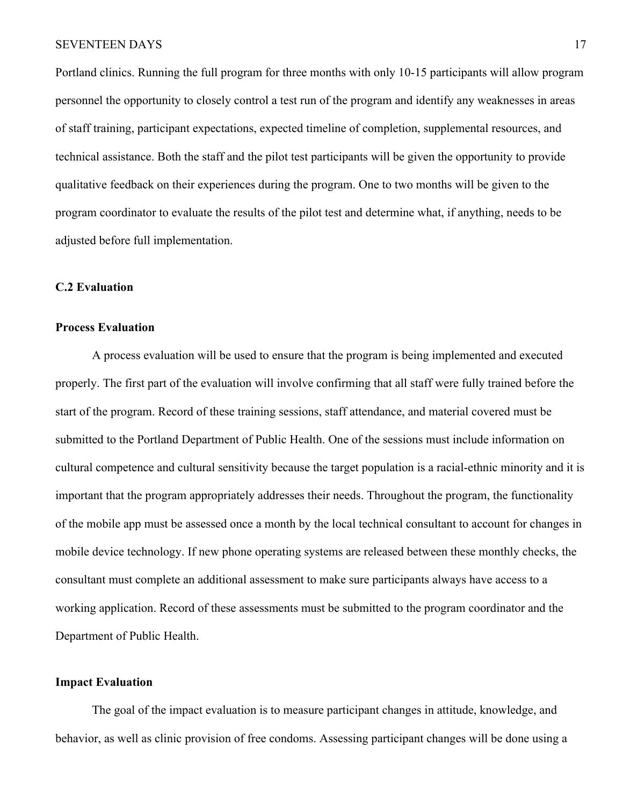Portland clinics. Running the full program for three months with only 10-15 participants will allow program personnel the opportunity to closely control a test run of the program and identify any weaknesses in areas of staff training, participant expectations, expected timeline of completion, supplemental resources, and technical assistance. Both the staff and the pilot test participants will be given the opportunity to provide qualitative feedback on their experiences during the program. One to two months will be given to the program coordinator to evaluate the results of the pilot test and determine what, if anything, needs to be adjusted before full implementation.

### **C.2 Evaluation**

#### **Process Evaluation**

A process evaluation will be used to ensure that the program is being implemented and executed properly. The first part of the evaluation will involve confirming that all staff were fully trained before the start of the program. Record of these training sessions, staff attendance, and material covered must be submitted to the Portland Department of Public Health. One of the sessions must include information on cultural competence and cultural sensitivity because the target population is a racial-ethnic minority and it is important that the program appropriately addresses their needs. Throughout the program, the functionality of the mobile app must be assessed once a month by the local technical consultant to account for changes in mobile device technology. If new phone operating systems are released between these monthly checks, the consultant must complete an additional assessment to make sure participants always have access to a working application. Record of these assessments must be submitted to the program coordinator and the Department of Public Health.

## **Impact Evaluation**

The goal of the impact evaluation is to measure participant changes in attitude, knowledge, and behavior, as well as clinic provision of free condoms. Assessing participant changes will be done using a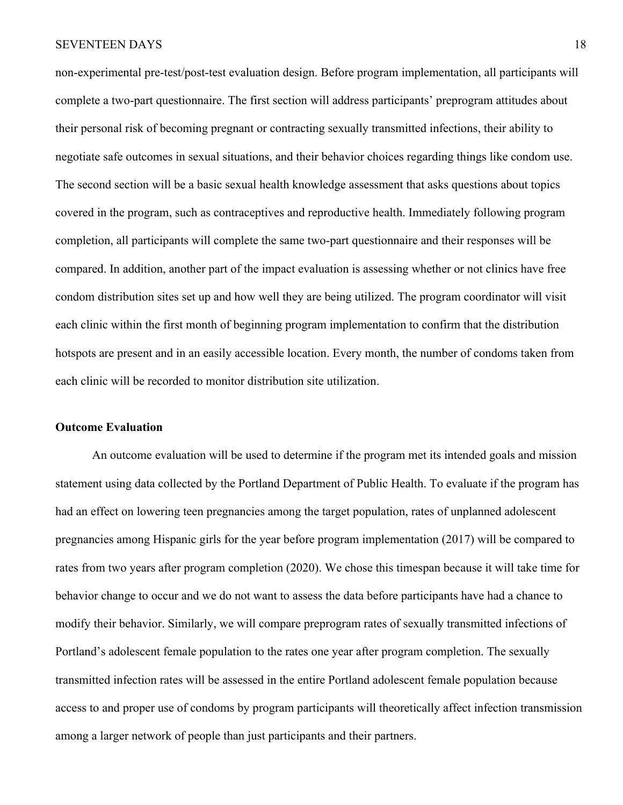non-experimental pre-test/post-test evaluation design. Before program implementation, all participants will complete a two-part questionnaire. The first section will address participants' preprogram attitudes about their personal risk of becoming pregnant or contracting sexually transmitted infections, their ability to negotiate safe outcomes in sexual situations, and their behavior choices regarding things like condom use. The second section will be a basic sexual health knowledge assessment that asks questions about topics covered in the program, such as contraceptives and reproductive health. Immediately following program completion, all participants will complete the same two-part questionnaire and their responses will be compared. In addition, another part of the impact evaluation is assessing whether or not clinics have free condom distribution sites set up and how well they are being utilized. The program coordinator will visit each clinic within the first month of beginning program implementation to confirm that the distribution hotspots are present and in an easily accessible location. Every month, the number of condoms taken from each clinic will be recorded to monitor distribution site utilization.

#### **Outcome Evaluation**

An outcome evaluation will be used to determine if the program met its intended goals and mission statement using data collected by the Portland Department of Public Health. To evaluate if the program has had an effect on lowering teen pregnancies among the target population, rates of unplanned adolescent pregnancies among Hispanic girls for the year before program implementation (2017) will be compared to rates from two years after program completion (2020). We chose this timespan because it will take time for behavior change to occur and we do not want to assess the data before participants have had a chance to modify their behavior. Similarly, we will compare preprogram rates of sexually transmitted infections of Portland's adolescent female population to the rates one year after program completion. The sexually transmitted infection rates will be assessed in the entire Portland adolescent female population because access to and proper use of condoms by program participants will theoretically affect infection transmission among a larger network of people than just participants and their partners.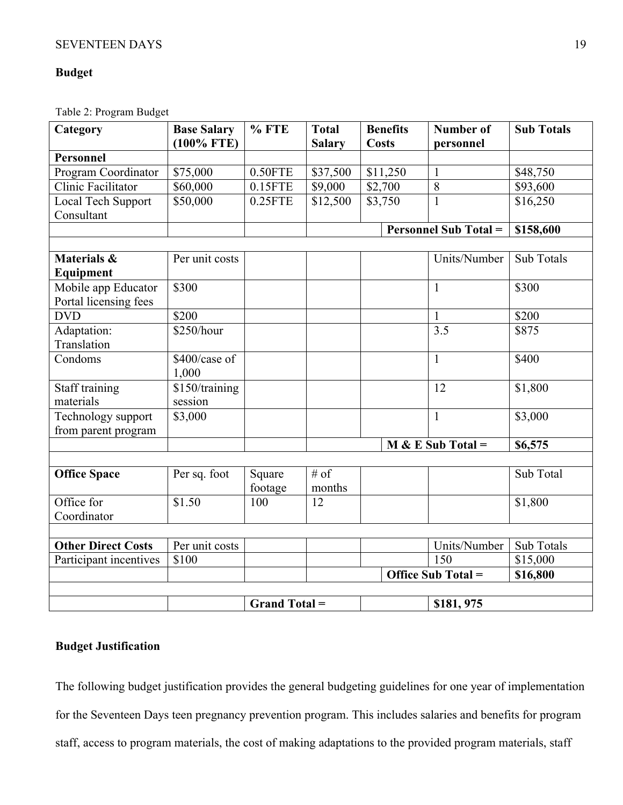# **Budget**

Table 2: Program Budget

| Category                  | <b>Base Salary</b><br>$(100\%$ FTE) | $%$ FTE              | <b>Total</b><br><b>Salary</b> | <b>Benefits</b><br><b>Costs</b> | <b>Number of</b><br>personnel | <b>Sub Totals</b> |  |
|---------------------------|-------------------------------------|----------------------|-------------------------------|---------------------------------|-------------------------------|-------------------|--|
| <b>Personnel</b>          |                                     |                      |                               |                                 |                               |                   |  |
| Program Coordinator       | \$75,000                            | $0.50$ FTE           | \$37,500                      | \$11,250                        | $\mathbf{1}$                  | \$48,750          |  |
| Clinic Facilitator        | \$60,000                            | $0.15$ FTE           | \$9,000                       | \$2,700                         | $\overline{8}$                | \$93,600          |  |
| Local Tech Support        | \$50,000                            | $0.25$ FTE           | \$12,500                      | \$3,750                         | $\mathbf{1}$                  | \$16,250          |  |
| Consultant                |                                     |                      |                               |                                 |                               |                   |  |
|                           |                                     |                      |                               |                                 | <b>Personnel Sub Total =</b>  | \$158,600         |  |
|                           |                                     |                      |                               |                                 |                               |                   |  |
| Materials &               | Per unit costs                      |                      |                               |                                 | Units/Number                  | <b>Sub Totals</b> |  |
| Equipment                 |                                     |                      |                               |                                 |                               |                   |  |
| Mobile app Educator       | \$300                               |                      |                               |                                 | 1                             | \$300             |  |
| Portal licensing fees     |                                     |                      |                               |                                 |                               |                   |  |
| <b>DVD</b>                | \$200                               |                      |                               |                                 | $\mathbf{1}$                  | \$200             |  |
| Adaptation:               | \$250/hour                          |                      |                               |                                 | $\overline{3.5}$              | \$875             |  |
| Translation               |                                     |                      |                               |                                 |                               |                   |  |
| Condoms                   | \$400/case of                       |                      |                               |                                 | $\mathbf{1}$                  | \$400             |  |
|                           | 1,000                               |                      |                               |                                 |                               |                   |  |
| Staff training            | \$150/training                      |                      |                               |                                 | 12                            | \$1,800           |  |
| materials                 | session                             |                      |                               |                                 |                               |                   |  |
| Technology support        | \$3,000                             |                      |                               |                                 | $\mathbf{1}$                  | \$3,000           |  |
| from parent program       |                                     |                      |                               |                                 |                               |                   |  |
|                           |                                     |                      |                               | $M & E Sub Total =$             |                               | \$6,575           |  |
|                           |                                     |                      |                               |                                 |                               |                   |  |
| <b>Office Space</b>       | Per sq. foot                        | Square               | # of                          |                                 |                               | Sub Total         |  |
|                           |                                     | footage              | months                        |                                 |                               |                   |  |
| Office for                | \$1.50                              | 100                  | 12                            |                                 |                               | \$1,800           |  |
| Coordinator               |                                     |                      |                               |                                 |                               |                   |  |
|                           |                                     |                      |                               |                                 |                               |                   |  |
| <b>Other Direct Costs</b> | Per unit costs                      |                      |                               |                                 | Units/Number                  | Sub Totals        |  |
| Participant incentives    | \$100                               |                      |                               |                                 | 150                           | \$15,000          |  |
|                           |                                     |                      |                               |                                 | Office Sub Total =            | \$16,800          |  |
|                           |                                     |                      |                               |                                 |                               |                   |  |
|                           |                                     | <b>Grand Total =</b> |                               |                                 | \$181, 975                    |                   |  |

# **Budget Justification**

The following budget justification provides the general budgeting guidelines for one year of implementation for the Seventeen Days teen pregnancy prevention program. This includes salaries and benefits for program staff, access to program materials, the cost of making adaptations to the provided program materials, staff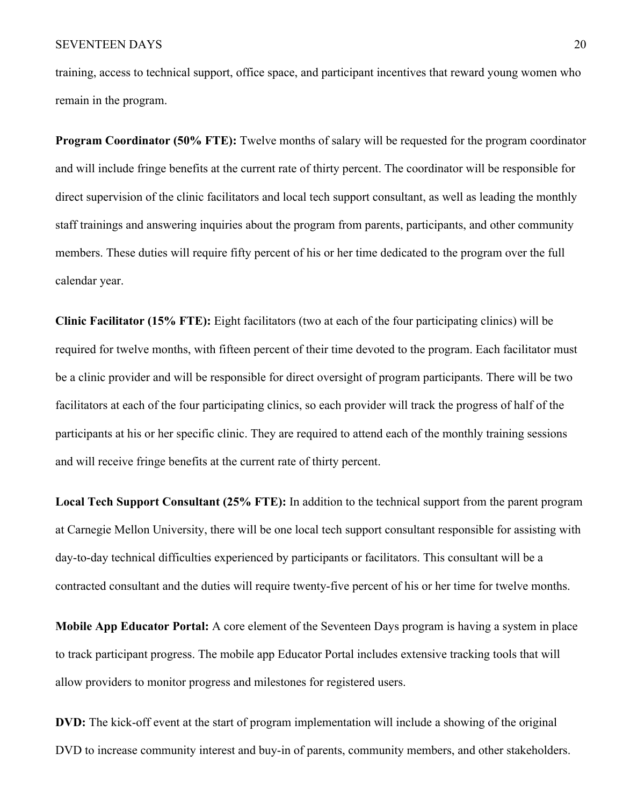training, access to technical support, office space, and participant incentives that reward young women who remain in the program.

**Program Coordinator (50% FTE):** Twelve months of salary will be requested for the program coordinator and will include fringe benefits at the current rate of thirty percent. The coordinator will be responsible for direct supervision of the clinic facilitators and local tech support consultant, as well as leading the monthly staff trainings and answering inquiries about the program from parents, participants, and other community members. These duties will require fifty percent of his or her time dedicated to the program over the full calendar year.

**Clinic Facilitator (15% FTE):** Eight facilitators (two at each of the four participating clinics) will be required for twelve months, with fifteen percent of their time devoted to the program. Each facilitator must be a clinic provider and will be responsible for direct oversight of program participants. There will be two facilitators at each of the four participating clinics, so each provider will track the progress of half of the participants at his or her specific clinic. They are required to attend each of the monthly training sessions and will receive fringe benefits at the current rate of thirty percent.

**Local Tech Support Consultant (25% FTE):** In addition to the technical support from the parent program at Carnegie Mellon University, there will be one local tech support consultant responsible for assisting with day-to-day technical difficulties experienced by participants or facilitators. This consultant will be a contracted consultant and the duties will require twenty-five percent of his or her time for twelve months.

**Mobile App Educator Portal:** A core element of the Seventeen Days program is having a system in place to track participant progress. The mobile app Educator Portal includes extensive tracking tools that will allow providers to monitor progress and milestones for registered users.

**DVD:** The kick-off event at the start of program implementation will include a showing of the original DVD to increase community interest and buy-in of parents, community members, and other stakeholders.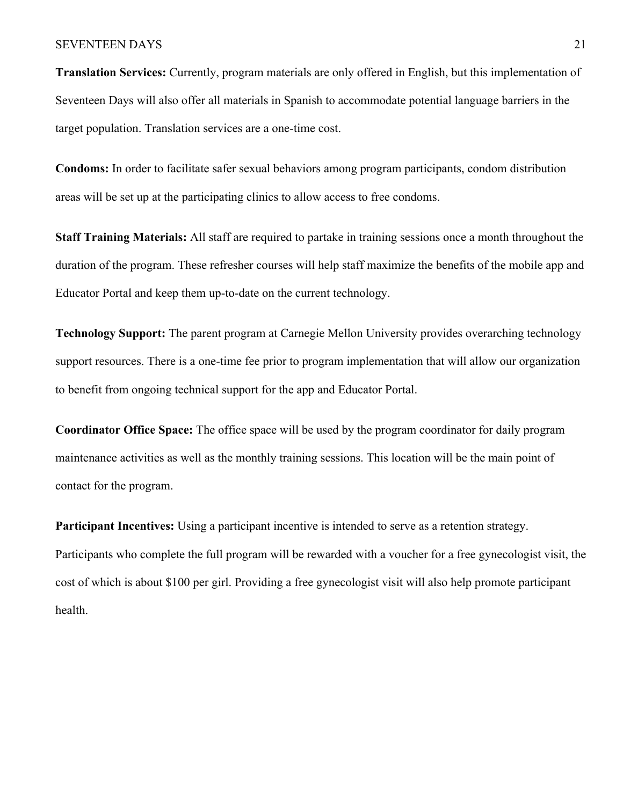**Translation Services:** Currently, program materials are only offered in English, but this implementation of Seventeen Days will also offer all materials in Spanish to accommodate potential language barriers in the target population. Translation services are a one-time cost.

**Condoms:** In order to facilitate safer sexual behaviors among program participants, condom distribution areas will be set up at the participating clinics to allow access to free condoms.

**Staff Training Materials:** All staff are required to partake in training sessions once a month throughout the duration of the program. These refresher courses will help staff maximize the benefits of the mobile app and Educator Portal and keep them up-to-date on the current technology.

**Technology Support:** The parent program at Carnegie Mellon University provides overarching technology support resources. There is a one-time fee prior to program implementation that will allow our organization to benefit from ongoing technical support for the app and Educator Portal.

**Coordinator Office Space:** The office space will be used by the program coordinator for daily program maintenance activities as well as the monthly training sessions. This location will be the main point of contact for the program.

**Participant Incentives:** Using a participant incentive is intended to serve as a retention strategy. Participants who complete the full program will be rewarded with a voucher for a free gynecologist visit, the cost of which is about \$100 per girl. Providing a free gynecologist visit will also help promote participant health.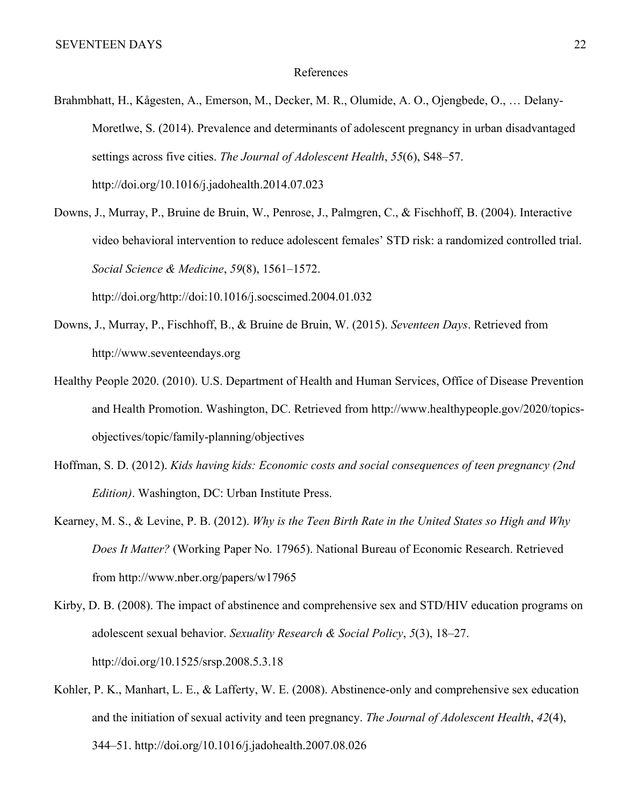### References

- Brahmbhatt, H., Kågesten, A., Emerson, M., Decker, M. R., Olumide, A. O., Ojengbede, O., … Delany-Moretlwe, S. (2014). Prevalence and determinants of adolescent pregnancy in urban disadvantaged settings across five cities. *The Journal of Adolescent Health*, *55*(6), S48–57. http://doi.org/10.1016/j.jadohealth.2014.07.023
- Downs, J., Murray, P., Bruine de Bruin, W., Penrose, J., Palmgren, C., & Fischhoff, B. (2004). Interactive video behavioral intervention to reduce adolescent females' STD risk: a randomized controlled trial. *Social Science & Medicine*, *59*(8), 1561–1572. http://doi.org/http://doi:10.1016/j.socscimed.2004.01.032
- Downs, J., Murray, P., Fischhoff, B., & Bruine de Bruin, W. (2015). *Seventeen Days*. Retrieved from http://www.seventeendays.org
- Healthy People 2020. (2010). U.S. Department of Health and Human Services, Office of Disease Prevention and Health Promotion. Washington, DC. Retrieved from http://www.healthypeople.gov/2020/topicsobjectives/topic/family-planning/objectives
- Hoffman, S. D. (2012). *Kids having kids: Economic costs and social consequences of teen pregnancy (2nd Edition)*. Washington, DC: Urban Institute Press.
- Kearney, M. S., & Levine, P. B. (2012). *Why is the Teen Birth Rate in the United States so High and Why Does It Matter?* (Working Paper No. 17965). National Bureau of Economic Research. Retrieved from http://www.nber.org/papers/w17965
- Kirby, D. B. (2008). The impact of abstinence and comprehensive sex and STD/HIV education programs on adolescent sexual behavior. *Sexuality Research & Social Policy*, *5*(3), 18–27. http://doi.org/10.1525/srsp.2008.5.3.18
- Kohler, P. K., Manhart, L. E., & Lafferty, W. E. (2008). Abstinence-only and comprehensive sex education and the initiation of sexual activity and teen pregnancy. *The Journal of Adolescent Health*, *42*(4), 344–51. http://doi.org/10.1016/j.jadohealth.2007.08.026